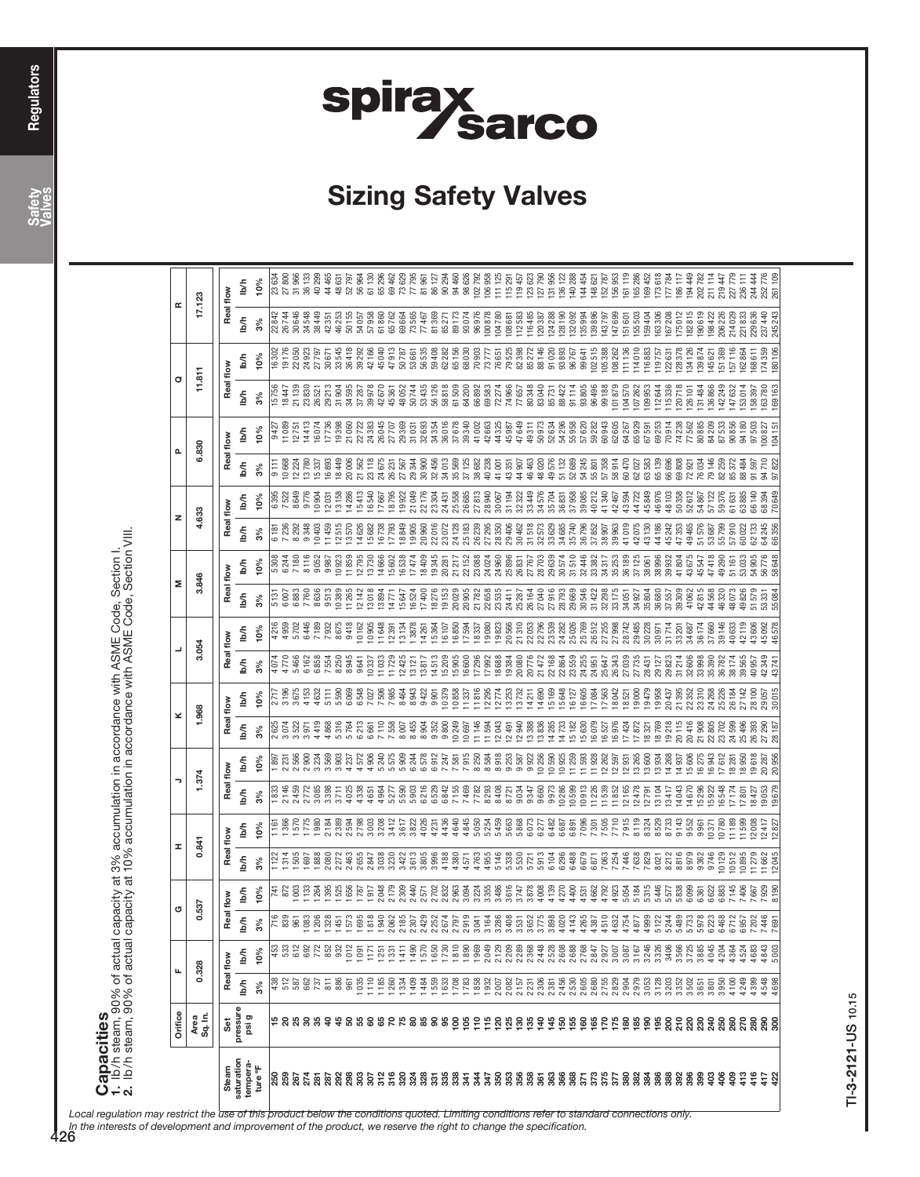# spirax<br>Sarco

## Sizing Safety Valves

**Capacities**<br>1. Ib/h steam, 90% of actual capacity at 3% accumulation in accordance with ASME Code, Section I.<br>2. Ib/h steam, 90% of actual capacity at 10% accumulation in accordance with ASME Code, Section VIII. 2. lb/h steam, 90% of actual capacity at 10% accumulation in accordance with ASME Code, Section VIII. 1. lb/h steam, 90% of actual capacity at 3% accumulation in accordance with ASME Code, Section I.

|                      | Orifice                                                                                                            |                              | щ                    | σ         |                      | I                                                                                                                                                                                                                                       |                                                                                         |                |                                                                                   | ×                    |                 |                                      |                            | Σ                |                              | z                                                 |                                                                         |                  |                                                                                | σ                                    |                                                                                                              | œ                                                                             |                                                       |
|----------------------|--------------------------------------------------------------------------------------------------------------------|------------------------------|----------------------|-----------|----------------------|-----------------------------------------------------------------------------------------------------------------------------------------------------------------------------------------------------------------------------------------|-----------------------------------------------------------------------------------------|----------------|-----------------------------------------------------------------------------------|----------------------|-----------------|--------------------------------------|----------------------------|------------------|------------------------------|---------------------------------------------------|-------------------------------------------------------------------------|------------------|--------------------------------------------------------------------------------|--------------------------------------|--------------------------------------------------------------------------------------------------------------|-------------------------------------------------------------------------------|-------------------------------------------------------|
|                      |                                                                                                                    |                              |                      |           |                      |                                                                                                                                                                                                                                         |                                                                                         |                |                                                                                   |                      |                 |                                      |                            |                  |                              |                                                   |                                                                         |                  |                                                                                |                                      |                                                                                                              |                                                                               |                                                       |
|                      | Area<br>Sq. In.                                                                                                    |                              | 0.328                | 0.537     |                      | 0.841                                                                                                                                                                                                                                   |                                                                                         |                | .374                                                                              | 1.968                |                 | 3.054                                |                            | 3.846            |                              | 4.633                                             |                                                                         | 6.830            |                                                                                | 11.811                               |                                                                                                              | 17.123                                                                        |                                                       |
| Steam                | Set                                                                                                                |                              | Real flow            | Real flow |                      | Real flow                                                                                                                                                                                                                               |                                                                                         | Real flow      |                                                                                   | Real flow            |                 | Real flow                            |                            | Real flow        |                              | Real flow                                         |                                                                         | Real flow        |                                                                                | Real flow                            |                                                                                                              | Real flow                                                                     |                                                       |
| saturation           | pressure<br>psi g                                                                                                  | $\frac{1}{2}$                | lb/h                 | b⁄h       | lb/h                 | uqi                                                                                                                                                                                                                                     | lb/h                                                                                    | lb/h           | ₫                                                                                 | $\frac{1}{2}$        | lb/h            | <b>S</b>                             | lb/h                       | lb/h             | lb/h                         | lb/h                                              | lb/h                                                                    | lb/h             | lb/h                                                                           | lb/h                                 | Пыћ                                                                                                          | lb/h                                                                          | lb/h                                                  |
| tempera-<br>ture °F  |                                                                                                                    | 3%                           | 10%                  | $3\%$     | 10%                  | $3\%$                                                                                                                                                                                                                                   | 10%                                                                                     | 3%             | 10%                                                                               | 3%                   | 10%             | $3\%$                                | 10%                        | 3%               | 10%                          | 3%                                                | 10%                                                                     | 3%               | 10%                                                                            | $3\%$                                | 10%                                                                                                          |                                                                               | 10%                                                   |
|                      |                                                                                                                    |                              |                      |           |                      |                                                                                                                                                                                                                                         |                                                                                         | 833            |                                                                                   | 2 625<br>3 0 7 4     | 2717<br>3196    | 4074                                 | 4216<br>4959               | 5131<br>6007     | 5308<br>6244                 | 6 181<br>7 236                                    | 6395<br>7522                                                            |                  | 9427                                                                           | 15756<br>18447                       |                                                                                                              | 22 842<br>26 744                                                              | <b>634</b><br>800                                     |
| ននិ<br>ខេត្ត         |                                                                                                                    |                              |                      |           | 741<br>872<br>003    |                                                                                                                                                                                                                                         | $\frac{58}{100}$                                                                        | 2146           |                                                                                   |                      |                 | 4770                                 |                            |                  |                              |                                                   |                                                                         | 10668            | 11089                                                                          |                                      |                                                                                                              |                                                                               |                                                       |
|                      |                                                                                                                    |                              |                      |           |                      | 697                                                                                                                                                                                                                                     |                                                                                         | 2459<br>2772   |                                                                                   | 3522<br>3971         | 4153<br>3675    | 5466                                 | 5702                       | 6883<br>7760     | 7180                         | 9348<br>8292                                      | 8649<br>9776                                                            |                  | 14413                                                                          | 21139<br>23830                       |                                                                                                              |                                                                               |                                                       |
|                      |                                                                                                                    |                              |                      |           |                      |                                                                                                                                                                                                                                         |                                                                                         |                |                                                                                   | 4419                 | 4632            |                                      | 6446<br>7189<br>7932       |                  | 8116<br>9052<br>9867         |                                                   |                                                                         |                  | 16074                                                                          |                                      | 9302<br>មាកធ្មរ<br>មាន ក្នុង<br>ក្នុង ក្នុង                                                                  | 30 546<br>34 546<br>35 55<br>36 42                                            | ಚಿತ<br>ಸಿ ಹಿ ಕೆ ಕೆ ಸ<br>ವಿ ಸಿ ಕೆ ಕೆ ಕೆ<br>ವಿ ಸಿ ಸಿ ಕೆ |
|                      |                                                                                                                    |                              |                      |           |                      | 88<br>080                                                                                                                                                                                                                               |                                                                                         | 3085<br>3398   |                                                                                   | 4868                 | 5111            |                                      |                            | 8636<br>9513     |                              | 10403<br>11459                                    | 10 904<br>12 03 1<br>13 158                                             |                  | 17736                                                                          | 26521<br>29213                       | 30671                                                                                                        |                                                                               | 44 465                                                |
|                      | <b># 8 ង ខ ង ទ ង ច ឌ ឌ ទ ន ៩ ដ ខ ឌ ទ ទ ទ ទ ភ ÷ ដ ខ ឆ ទ ន ទ ភ ភ ទ ឆ ទ ត ទ ទ ទ ទ ទ ទ ទ ខ ម ខ ប ខ ម ទ ន ទ ទ ទ ទ ក</b> | <b>SER SER 5 SE</b>          | <b>8828288825</b>    |           | <b>38886</b>         | 1272                                                                                                                                                                                                                                    | ಹಿತಿ ಹೆಸ<br>ನಿಂದಿ                                                                       | 3711           |                                                                                   | 5316                 | 5 590           | 6162<br>6855<br>6854<br>8855<br>8945 | 8675                       | 10389<br>11265   | 10923<br>11859               | 12515                                             |                                                                         |                  | 19398                                                                          | 31 904<br>34 595                     | 33545                                                                                                        | ងនាង ១៩៥<br>មិន ១៩៥ ១៩៥<br>ក្នុង ២៩ ១៩ ១៩ ១៩                                  | 48 631<br>52 797                                      |
|                      |                                                                                                                    | 035                          |                      |           | 787                  | , 655                                                                                                                                                                                                                                   |                                                                                         | 4338<br>4025   | 4572                                                                              | 6213<br>5764         | 6548<br>6069    | 9641                                 | 9418<br>10162              | 12142            | 12795                        | 14626<br>13570                                    | 14286<br>15413                                                          | 21562            | 21060<br>22722                                                                 | 37287                                | 36418<br>39292                                                                                               |                                                                               | 56964                                                 |
|                      |                                                                                                                    | 110                          | E                    |           | 917                  | 2847                                                                                                                                                                                                                                    |                                                                                         | 4651           |                                                                                   | 6661                 | 7027            | 10337                                | 10905                      | 13018            | 13730                        | 15682                                             | 16540                                                                   |                  | 24383                                                                          | 39978                                |                                                                                                              |                                                                               | 61130                                                 |
|                      |                                                                                                                    |                              | $\frac{25}{1}$       |           |                      |                                                                                                                                                                                                                                         |                                                                                         | 4964           |                                                                                   |                      | 7506            | 11033                                | 11648                      | 13894            | 14666                        | 16738                                             | 17667                                                                   | 24675            |                                                                                | 42670                                |                                                                                                              |                                                                               |                                                       |
|                      |                                                                                                                    | $185$<br>$283$               | 41<br>$\overline{3}$ |           | 2048<br>2179<br>2309 |                                                                                                                                                                                                                                         |                                                                                         | 5277<br>5590   |                                                                                   | 7110<br>7558<br>8007 | 7 985<br>8464   | 12425                                | 13134<br><b>12391</b>      | 14771            | 15602<br>16538               | 18849<br>17793                                    | 18795<br>19922                                                          | 26 231<br>27 567 |                                                                                | 45361                                |                                                                                                              |                                                                               |                                                       |
|                      |                                                                                                                    | 1409                         | 1490                 |           |                      | $\begin{array}{c} 88\,8\,8\,12\,9\,8\,8\,8\,8\,7\,7\,9\,9\,8\,9\,8\,9\,7\,9\,9\,9\,9\,9\,1\,9\,1\,9\,9\,9\,9\,9\,9\,1\,9\,1\,9\,9\,9\,9\,9\,1\,9\,1\,9\,1\,9\,1\,9\,1\,9\,1\,9\,1\,9\,1\,9\,1\,9\,1\,9\,1\,9\,1\,9\,1\,9\,1\,9\,1\,9\,$ | $\begin{array}{l} 308 \\ 308 \\ 317 \\ 338 \\ 369 \\ 379 \\ 389 \\ 44 \\ 4 \end{array}$ | 5903           |                                                                                   | 8455                 | 8943            | 13121                                | 13878                      | 15647<br>16524   | 17474                        | 19905                                             | 21049                                                                   | 29344            | ង<br>ក្ដី ក្ដី ក្ដី ក្ដី ក្ដី<br>ក្ដី ក្ដី ក្ដី ក្ដី ក្ដី<br>ក្ដី ក្ដី ក្ដី ក្ | 48052<br>50744                       | $42166$<br>$45040$<br>$47913$<br>$50787$<br>$50787$<br>$50853$                                               |                                                                               | 65 296<br>69 462<br>77 795<br>77 795                  |
|                      |                                                                                                                    | 1484                         | 1570                 |           | 2440                 |                                                                                                                                                                                                                                         |                                                                                         | 6216           |                                                                                   | 8904                 | 9422            | 13817                                | 14261                      | 17400            | 18409                        | 20960                                             | 22176                                                                   | 3090C            |                                                                                | 53435<br>56126                       |                                                                                                              |                                                                               |                                                       |
|                      |                                                                                                                    | 559                          | 650                  |           | 2702                 |                                                                                                                                                                                                                                         |                                                                                         | 6529           |                                                                                   | 9352                 | 9.901           | 14513                                | 15364                      | 18276            | 19345                        | 22016                                             | 23304                                                                   | 32456            |                                                                                |                                      | 59408                                                                                                        |                                                                               | 81 961<br>86 127<br>90 294                            |
|                      |                                                                                                                    | 633                          | 1810<br>730          |           | 2832<br>:963         |                                                                                                                                                                                                                                         |                                                                                         | 6842           |                                                                                   | 10249<br>9800        | 10379<br>10858  | 15905<br>15209                       | 16850<br>16107             | 20029<br>19153   | 21217<br>20281               | 23072                                             | 24431                                                                   | 35569            |                                                                                | 58818                                | 62282                                                                                                        |                                                                               |                                                       |
|                      |                                                                                                                    | 1708<br>1783<br>1858         | 890                  |           | 3094                 |                                                                                                                                                                                                                                         |                                                                                         | 7155<br>7469   |                                                                                   | 10697                | š               | 16600                                | 17594                      | 20905            | 22152                        | 24 128<br>25 183<br>26 239                        | 25 558<br>26 685<br>27 813                                              |                  |                                                                                |                                      | 65 156<br>68 030<br>70 903                                                                                   | 81 369<br>85 271<br>85 373<br>89 374<br>86 376<br>96 376<br>98 376<br>108 381 |                                                       |
|                      |                                                                                                                    |                              | 969                  |           | 224                  |                                                                                                                                                                                                                                         |                                                                                         | 7782           |                                                                                   | 1146                 | 816             | 17296                                | 18337                      | 21782            | 23088                        |                                                   |                                                                         | 38682            |                                                                                |                                      |                                                                                                              |                                                                               |                                                       |
|                      |                                                                                                                    | 1932                         | 2049                 |           | 3355                 |                                                                                                                                                                                                                                         |                                                                                         | 8293           |                                                                                   | 1594                 | 2295            | 17992                                | 19080<br>19823             | 22 658<br>23 535 | 24 024<br>24 960             |                                                   | 28940                                                                   | 40238            |                                                                                |                                      | 73777<br>76651                                                                                               |                                                                               |                                                       |
|                      |                                                                                                                    | 2082<br>2007                 | 2129<br>2209         |           | 3616<br>3486         |                                                                                                                                                                                                                                         |                                                                                         | 8408<br>8721   |                                                                                   | 12043<br>12491       | 13253           | 18688                                | 20566                      | 24411            | 25896                        |                                                   | 31194<br>30067                                                          | 13351            |                                                                                |                                      | 79525                                                                                                        |                                                                               | 15291                                                 |
|                      |                                                                                                                    | 2157                         |                      |           | 3747                 |                                                                                                                                                                                                                                         |                                                                                         | 9034           |                                                                                   | 12940                | 13732           | 19384<br>20080                       | 21310                      | 25 287           | 26831                        | 27<br>28 350<br>28 30 462<br>28 5573<br>38 52 573 | 32322                                                                   | 14907            |                                                                                | 77657                                |                                                                                                              |                                                                               | 119457                                                |
|                      |                                                                                                                    |                              | 2 289<br>2 368       |           | 3878                 |                                                                                                                                                                                                                                         |                                                                                         | 9347           |                                                                                   | 13388                | 14211           | 20776                                |                            | 26164            |                              |                                                   | 33 449<br>34 576                                                        | 46463            |                                                                                |                                      | $\begin{array}{l} 82\,398 \\ 85\,272 \\ 85\,8146 \\ 86\,81\,49 \\ 91\,020 \\ 93\,393 \\ 96\,767 \end{array}$ |                                                                               |                                                       |
|                      |                                                                                                                    | 2 23<br>2 30<br>2 38<br>2 38 | 2448                 |           | 4008<br>4139         |                                                                                                                                                                                                                                         |                                                                                         | 9660           |                                                                                   | 13836                | 14690           | 21472                                | 22 053<br>22 796<br>23 539 | 27040            |                              |                                                   |                                                                         | 48020            |                                                                                |                                      |                                                                                                              |                                                                               | 123 623<br>127 790<br>131 956                         |
|                      |                                                                                                                    |                              | 2528                 |           |                      |                                                                                                                                                                                                                                         |                                                                                         | 9973           | $\begin{array}{r} 992 \\ 9956 \\ 10256 \\ 11253 \\ 11253 \\ 11253 \\ \end{array}$ | 14285                | 5 169           | 22168                                |                            | 27916            | 27 767<br>28 703<br>29 857 4 |                                                   | 35704                                                                   | 49576            |                                                                                | 80 348<br>83 040<br>85 731<br>88 422 |                                                                                                              |                                                                               |                                                       |
|                      |                                                                                                                    | 2456<br>2530                 | 2608<br>2688         |           | 4270<br>4400         |                                                                                                                                                                                                                                         |                                                                                         | 10286<br>10599 |                                                                                   | 14733<br>15182       | 15648<br>16 127 | 22 864<br>23 559                     | 24 2 8 2<br>25026          | 29669<br>28793   | 31510                        | 34685<br>35740                                    | 37958<br>36831                                                          | 52689<br>51132   |                                                                                | 91114                                |                                                                                                              |                                                                               | 136122<br>140288                                      |
|                      |                                                                                                                    | 2605                         | 2768                 |           | 4531                 | 6679                                                                                                                                                                                                                                    |                                                                                         | 10913          | 1593                                                                              | 15630                | 16 605          | 24255                                | 25769                      | 30546            | 32446                        | 36796                                             | 39085                                                                   | 54245            |                                                                                |                                      | 99641                                                                                                        |                                                                               | 144454                                                |
|                      |                                                                                                                    | 2680                         | 2847                 |           | 4662                 | 6871                                                                                                                                                                                                                                    |                                                                                         | 11226          | 1928                                                                              | 16079                |                 | 24951                                | 26512                      | 31422            | 33382                        | 17852                                             | $\begin{array}{c} 40\,212 \\ 41\,340 \\ 42\,467 \\ 43\,594 \end{array}$ | 55801            |                                                                                | 93 805<br>96 496<br>99 188           | 102515                                                                                                       |                                                                               | 148621                                                |
|                      |                                                                                                                    | 2755<br>2829<br>2904         | 2927<br>3007         |           | 4792<br>4923         | 7063<br>7254<br>7638                                                                                                                                                                                                                    |                                                                                         | 11539<br>11852 | 12 262<br>12 593<br>12 931                                                        | 16527                |                 | 25647<br>26343                       | 27255                      | 32298<br>33175   | 34317<br>35253               | 38907                                             |                                                                         | 57358<br>58914   |                                                                                |                                      | 105388<br>108262                                                                                             |                                                                               | 152787                                                |
|                      |                                                                                                                    |                              | 3087                 |           | 054                  |                                                                                                                                                                                                                                         | 216Z                                                                                    | 12165          |                                                                                   | 16976<br>7424        | š               | 27039                                | 27998<br>28742             | 3405             | 36189                        | 39963<br>41019                                    |                                                                         | 60470            |                                                                                | 101879<br>104570<br>107262           | 11136                                                                                                        |                                                                               | 156953<br>161119                                      |
|                      |                                                                                                                    | 2979                         | 3167                 |           | 5184                 |                                                                                                                                                                                                                                         | 8119                                                                                    | 12478          |                                                                                   | 17872                |                 | 27735                                | 29485                      | 34927            | 37125                        | 42075                                             | 44722                                                                   | 62027            |                                                                                |                                      | 114010                                                                                                       |                                                                               | 165286                                                |
|                      |                                                                                                                    | 3053                         | 3246                 |           | 315                  | 7829                                                                                                                                                                                                                                    | 8324<br>8529                                                                            | 12791          | 13265<br>13600                                                                    | 832                  |                 | 28431                                | 30228                      | 35804            | 38061                        | 13130                                             | 45849                                                                   | 33583            | 65929<br>67591                                                                 | 109953                               | 16883                                                                                                        |                                                                               | 169452                                                |
|                      |                                                                                                                    | 3128                         | 3326                 |           | 5446                 | 8021                                                                                                                                                                                                                                    |                                                                                         | 13104          | 13934                                                                             | 18769                |                 | 29127                                | 3097                       | 36680            | 38996                        | 44186                                             | 46976                                                                   | 65139            | 69253                                                                          | 112644                               | 119757<br>122631                                                                                             |                                                                               | 173618                                                |
|                      |                                                                                                                    | 3203                         | 3406<br>3566         |           | 683<br>577           | 8212<br>8816                                                                                                                                                                                                                            | 8733                                                                                    | 1341           | 4268<br>14937                                                                     | 19218                |                 | 29823                                |                            | 39309<br>37557   | 41804<br>39932               | 47353<br>45242                                    | 50358<br>48103                                                          | 66 69            | 70914<br>74238                                                                 | 115336<br>120718                     | 128378                                                                                                       | 175012<br>167208                                                              | 177784                                                |
|                      |                                                                                                                    | 3352<br>3502<br>3651         | 3725                 |           | i 099                | 8979                                                                                                                                                                                                                                    | 9143<br>9552                                                                            | 14043<br>14670 | 5606                                                                              | 20115<br>20416       |                 | 31 214<br>32606                      | 33 201<br>34687            | 41062            | 43675                        | 19465                                             | 52612                                                                   | 69808<br>7292    | 77562                                                                          | 126 101                              | 134126                                                                                                       |                                                                               | 186117<br>194449                                      |
|                      |                                                                                                                    |                              | 3885                 |           | 361                  | 9362                                                                                                                                                                                                                                    | 9961                                                                                    | 1529E          | 6275                                                                              | $\frac{800}{1}$      |                 | 33998                                | 36174                      | 42815            | 45547                        |                                                   | 5486                                                                    |                  |                                                                                | 31484                                | 139874                                                                                                       | 182815<br>190619                                                              | 202782                                                |
|                      |                                                                                                                    | 3801                         | 4045                 |           | 6622                 | 9746                                                                                                                                                                                                                                    | 10371                                                                                   | 15922          | 16943                                                                             | 2805                 |                 | 3539C                                | 37660                      | 44568            | 47418                        | 53687                                             |                                                                         |                  | 80 885<br>84 209<br>87 533                                                     | 136866                               | 145621                                                                                                       | 198422                                                                        | 211114                                                |
|                      |                                                                                                                    | 3950                         | 4204                 |           | :883                 | 10129                                                                                                                                                                                                                                   | 10780                                                                                   | 16548          | 7612                                                                              |                      |                 | 36782                                | 39146                      | 4632             | 49290                        |                                                   | 5937                                                                    |                  |                                                                                | 42249                                | 51369                                                                                                        | 206226                                                                        | 219447                                                |
|                      |                                                                                                                    | 4100                         | 4364                 | 758848    | ă                    | 10512                                                                                                                                                                                                                                   | 1189                                                                                    | I717.          | 8281                                                                              |                      |                 | 38174                                | 40633                      | 48073            | 51 161                       | 5791C                                             | 6163                                                                    | 85372            | 90856<br>94180                                                                 | 47632                                | 157116                                                                                                       | 214029                                                                        | 227779                                                |
|                      |                                                                                                                    | 4249                         | 4683<br>4524         |           | 667                  | 11279<br>10895                                                                                                                                                                                                                          | 2008<br>1599                                                                            | 18427<br>780   | 19618<br>18950                                                                    |                      |                 | 40957                                | 43606                      | 51579            | 54905<br>53033               | 62133                                             | 66140<br>6388                                                           |                  | 97503                                                                          | 158397                               | 168611<br>162864                                                                                             | 229636<br>221833                                                              | 244 444                                               |
| 41<br>42<br>42<br>42 |                                                                                                                    |                              |                      |           | 929                  |                                                                                                                                                                                                                                         | 2417                                                                                    | 19053          |                                                                                   | 27 290               |                 |                                      | 45092                      |                  |                              | 34245                                             |                                                                         |                  |                                                                                | 63780                                |                                                                                                              |                                                                               |                                                       |
|                      |                                                                                                                    | $4398$<br>$4548$<br>$4698$   | 4843<br>5003         |           |                      |                                                                                                                                                                                                                                         |                                                                                         | 19679          | 20287<br>20956                                                                    |                      |                 |                                      |                            |                  | 56776<br>58648               |                                                   | 68394<br>70649                                                          |                  | 100827<br>104 151                                                              | 169163                               | 174359<br>180106                                                                                             | 237440<br>245 243                                                             | 252776<br>261109                                      |

TI-3-2121-US 10.15 TI-3-2121-US 10.15

Local regulation may restrict the use of this product below the conditions quoted. Limiting conditions refer to standard connections only.

In the interests of development and improvement of the product, we reserve the right to change the specification.<br>426

Safety<br>Valves

Capacities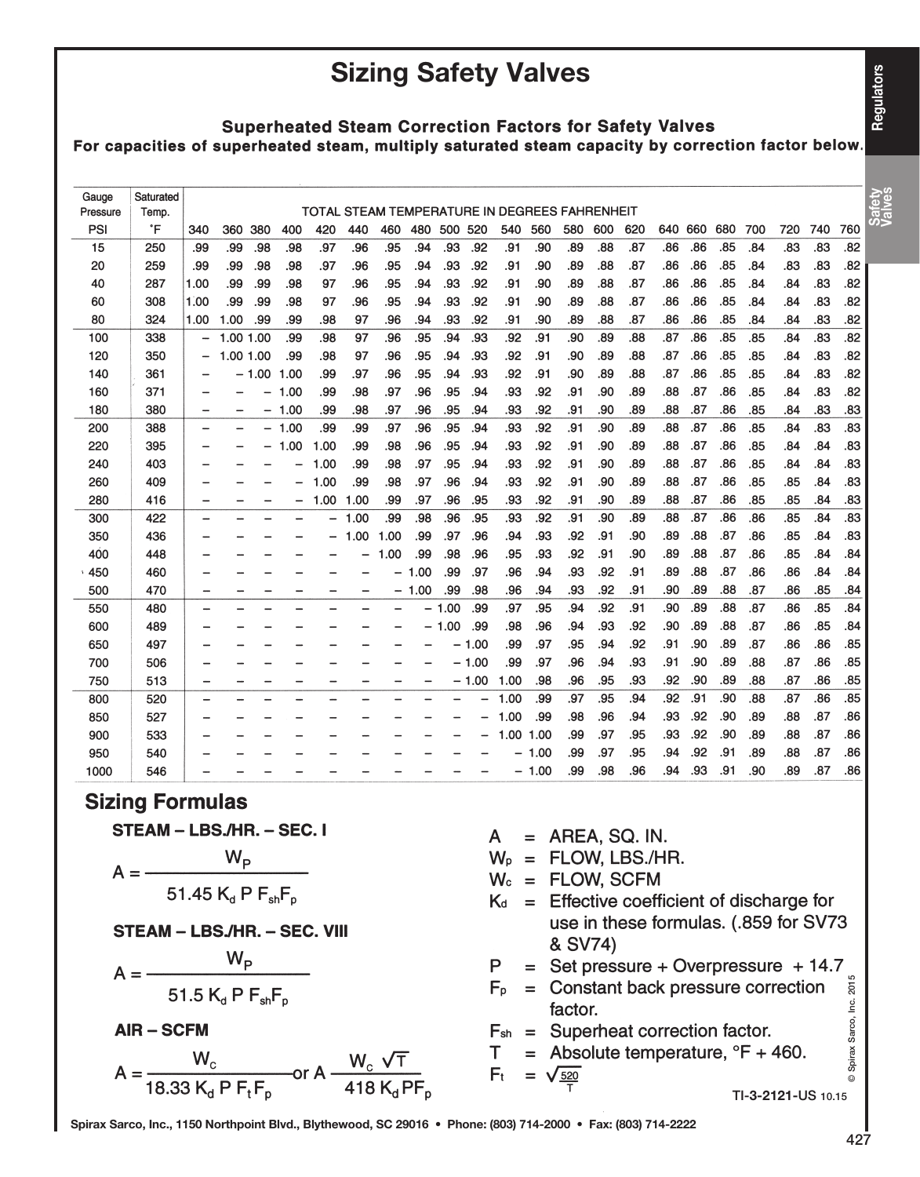**Regulators** 

### Sizing Safety Valves

#### **Superheated Steam Correction Factors for Safety Valves** For capacities of superheated steam, multiply saturated steam capacity by correction factor below.

| Gauge    | Saturated |                          |           |                 |      |                                               |      |      |      |         |         |      |         |     |     |     |     |     |     |     |     |     |     |                  |
|----------|-----------|--------------------------|-----------|-----------------|------|-----------------------------------------------|------|------|------|---------|---------|------|---------|-----|-----|-----|-----|-----|-----|-----|-----|-----|-----|------------------|
| Pressure | Temp.     |                          |           |                 |      | TOTAL STEAM TEMPERATURE IN DEGREES FAHRENHEIT |      |      |      |         |         |      |         |     |     |     |     |     |     |     |     |     |     | Safety<br>Valves |
| PSI      | °F        | 340                      | 360       | 380             | 400  | 420                                           | 440  | 460  | 480  | 500 520 |         | 540  | 560     | 580 | 600 | 620 | 640 | 660 | 680 | 700 | 720 | 740 | 760 |                  |
| 15       | 250       | .99                      | .99       | .98             | .98  | .97                                           | .96  | .95  | .94  | .93     | .92     | .91  | .90     | .89 | .88 | .87 | .86 | .86 | .85 | .84 | .83 | .83 | .82 |                  |
| 20       | 259       | .99                      | .99       | .98             | .98  | .97                                           | .96  | .95  | .94  | .93     | .92     | .91  | .90     | .89 | .88 | .87 | .86 | .86 | .85 | .84 | .83 | .83 | .82 |                  |
| 40       | 287       | 1.00                     | .99       | .99             | .98  | 97                                            | .96  | .95  | .94  | .93     | .92     | .91  | .90     | .89 | .88 | .87 | .86 | .86 | .85 | .84 | .84 | .83 | .82 |                  |
| 60       | 308       | 1.00                     | .99       | .99             | .98  | 97                                            | .96  | .95  | .94  | .93     | .92     | .91  | .90     | .89 | .88 | .87 | .86 | .86 | .85 | .84 | .84 | .83 | .82 |                  |
| 80       | 324       | 1.00                     | 1.00      | .99             | .99  | .98                                           | 97   | .96  | .94  | .93     | .92     | .91  | .90     | .89 | .88 | .87 | .86 | .86 | .85 | .84 | .84 | .83 | .82 |                  |
| 100      | 338       |                          | 1.00      | 1.00            | .99  | .98                                           | 97   | .96  | .95  | .94     | .93     | .92  | .91     | .90 | .89 | .88 | .87 | .86 | .85 | .85 | .84 | .83 | .82 |                  |
| 120      | 350       | -                        | 1.00 1.00 |                 | .99  | .98                                           | 97   | .96  | .95  | .94     | .93     | .92  | .91     | .90 | .89 | .88 | .87 | .86 | .85 | .85 | .84 | .83 | .82 |                  |
| 140      | 361       | -                        |           | $-1.00$         | 1.00 | .99                                           | .97  | .96  | .95  | .94     | .93     | .92  | .91     | .90 | .89 | .88 | .87 | .86 | .85 | .85 | .84 | .83 | .82 |                  |
| 160      | 371       | -                        |           | $\qquad \qquad$ | 1.00 | .99                                           | .98  | .97  | .96  | .95     | .94     | .93  | .92     | .91 | .90 | .89 | .88 | .87 | .86 | .85 | .84 | .83 | .82 |                  |
| 180      | 380       | $\overline{\phantom{m}}$ |           |                 | 1.00 | .99                                           | .98  | .97  | .96  | .95     | .94     | .93  | .92     | .91 | .90 | .89 | .88 | .87 | .86 | .85 | .84 | .83 | .83 |                  |
| 200      | 388       | -                        |           | -               | 1.00 | .99                                           | .99  | .97  | .96  | .95     | .94     | .93  | .92     | .91 | .90 | .89 | .88 | .87 | .86 | .85 | .84 | .83 | .83 |                  |
| 220      | 395       | -                        |           |                 | 1.00 | 1.00                                          | .99  | .98  | .96  | .95     | .94     | .93  | .92     | .91 | .90 | .89 | .88 | .87 | .86 | .85 | .84 | .84 | .83 |                  |
| 240      | 403       |                          |           |                 |      | .00                                           | .99  | .98  | .97  | .95     | .94     | .93  | .92     | .91 | .90 | .89 | .88 | .87 | .86 | .85 | .84 | .84 | .83 |                  |
| 260      | 409       |                          |           |                 |      | 1.00                                          | .99  | .98  | .97  | .96     | .94     | .93  | .92     | .91 | .90 | .89 | .88 | .87 | .86 | .85 | .85 | .84 | .83 |                  |
| 280      | 416       | -                        |           |                 | -    | 1.00                                          | 1.00 | .99  | .97  | .96     | .95     | .93  | .92     | .91 | .90 | .89 | .88 | .87 | .86 | .85 | .85 | .84 | .83 |                  |
| 300      | 422       | -                        |           |                 |      | -                                             | 1.00 | .99  | .98  | .96     | .95     | .93  | .92     | .91 | .90 | .89 | .88 | .87 | .86 | .86 | .85 | .84 | .83 |                  |
| 350      | 436       | -                        |           |                 |      |                                               | 1.00 | 1.00 | .99  | .97     | .96     | .94  | .93     | .92 | .91 | .90 | .89 | .88 | .87 | .86 | .85 | .84 | .83 |                  |
| 400      | 448       | -                        |           |                 |      |                                               | ۰    | 1.00 | .99  | .98     | .96     | .95  | .93     | .92 | .91 | .90 | .89 | .88 | .87 | .86 | .85 | .84 | .84 |                  |
| .450     | 460       | -                        |           |                 |      |                                               |      |      | .00  | .99     | .97     | .96  | .94     | .93 | .92 | .91 | .89 | .88 | .87 | .86 | .86 | .84 | .84 |                  |
| 500      | 470       | -                        |           |                 |      |                                               |      |      | 1.00 | .99     | .98     | .96  | .94     | .93 | .92 | .91 | .90 | .89 | .88 | .87 | .86 | .85 | .84 |                  |
| 550      | 480       | -                        |           |                 |      |                                               |      |      |      | 1.00    | .99     | .97  | .95     | .94 | .92 | .91 | .90 | .89 | .88 | .87 | .86 | .85 | .84 |                  |
| 600      | 489       |                          |           |                 |      |                                               |      |      |      | - 1.00  | .99     | .98  | .96     | .94 | .93 | .92 | .90 | .89 | .88 | .87 | .86 | .85 | .84 |                  |
| 650      | 497       |                          |           |                 |      |                                               |      |      |      | -       | 1.00    | .99  | .97     | .95 | .94 | .92 | .91 | .90 | .89 | .87 | .86 | .86 | .85 |                  |
| 700      | 506       |                          |           |                 |      |                                               |      |      |      |         | $-1.00$ | .99  | .97     | .96 | .94 | .93 | .91 | .90 | .89 | .88 | .87 | .86 | .85 |                  |
| 750      | 513       | $\overline{\phantom{0}}$ |           |                 |      | -                                             |      |      |      |         | $-1.00$ | 1.00 | .98     | .96 | .95 | .93 | .92 | .90 | .89 | .88 | .87 | .86 | .85 |                  |
| 800      | 520       | ۰                        |           |                 |      |                                               |      |      |      |         |         | .00  | .99     | .97 | .95 | .94 | .92 | .91 | .90 | .88 | .87 | .86 | .85 |                  |
| 850      | 527       |                          |           |                 |      |                                               |      |      |      |         |         | 1.00 | .99     | .98 | .96 | .94 | .93 | .92 | .90 | .89 | .88 | .87 | .86 |                  |
| 900      | 533       |                          |           |                 |      |                                               |      |      |      |         |         | 1.00 | 1.00    | .99 | .97 | .95 | .93 | .92 | .90 | .89 | .88 | .87 | .86 |                  |
| 950      | 540       |                          |           |                 |      |                                               |      |      |      |         |         |      | 1.00    | .99 | .97 | .95 | .94 | .92 | .91 | .89 | .88 | .87 | .86 |                  |
| 1000     | 546       |                          |           |                 |      |                                               |      |      |      |         |         |      | $-1.00$ | .99 | .98 | .96 | .94 | .93 | .91 | .90 | .89 | .87 | .86 |                  |

#### **Sizing Formulas**

STEAM - LBS./HR. - SEC. I

$$
A = \frac{W_P}{F4.4F K P F}
$$

$$
51.45\, \mathrm{K}_\mathrm{d}\,\mathrm{F}\,\mathrm{F}_{\mathrm{sh}}\mathrm{F}_\mathrm{p}
$$

STEAM - LBS./HR. - SEC. VIII

 $\overline{1}$ 

$$
A = \frac{W_{\rm p}}{W_{\rm p}}
$$

$$
51.5\ \mathrm{K_g}\ \mathrm{P}\ \mathrm{F_{sh}F}
$$

**AIR-SCFM** 

$$
A = \frac{W_c}{18.33 \text{ K}_d \text{ P F}_t \text{ F}_p} \text{ or } A = \frac{W_c \sqrt{\text{T}}}{418 \text{ K}_d \text{ P F}}
$$

 $A = AREA, SQ. IN.$ 

 $W_P = FLOW, LBS./HR.$ 

 $W_c = FLOW, SCFM$ 

 $K_d$  = Effective coefficient of discharge for use in these formulas. (.859 for SV73 & SV74)

P = Set pressure + Overpressure + 14.7  
\nF<sub>p</sub> = Constant back pressure correction  
\nfactor.  
\nF<sub>sh</sub> = Superheat correction factor.  
\nT = Absolute temperature, 
$$
{}^{\circ}\text{F} + 460
$$
.  
\nF<sub>t</sub> =  $\sqrt{\frac{520}{60}}$ 

 $F<sub>p</sub>$  = Constant back pressure correction factor.

$$
F_{\text{sh}} =
$$
 Superheat correction factor.  
 $T =$  Absolute temperature.<sup>o</sup> $F + 460$ .

 $F_t$  $=$   $\sqrt{\frac{520}{}}$ 

T

TI-3-2121-US 10.15

Spirax

 $\circledcirc$